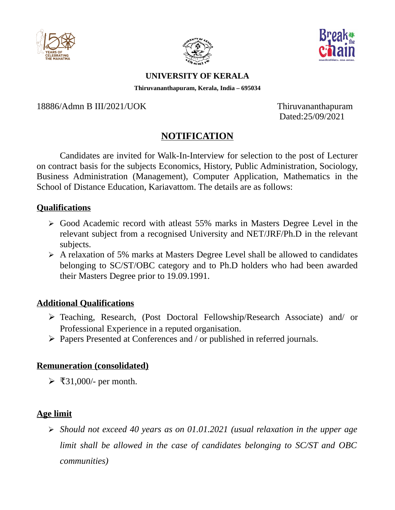





#### **UNIVERSITY OF KERALA**

**Thiruvananthapuram, Kerala, India – 695034**

18886/Admn B III/2021/UOK Thiruvananthapuram

Dated:25/09/2021

# **NOTIFICATION**

Candidates are invited for Walk-In-Interview for selection to the post of Lecturer on contract basis for the subjects Economics, History, Public Administration, Sociology, Business Administration (Management), Computer Application, Mathematics in the School of Distance Education, Kariavattom. The details are as follows:

#### **Qualifications**

- ➢ Good Academic record with atleast 55% marks in Masters Degree Level in the relevant subject from a recognised University and NET/JRF/Ph.D in the relevant subjects.
- ➢ A relaxation of 5% marks at Masters Degree Level shall be allowed to candidates belonging to SC/ST/OBC category and to Ph.D holders who had been awarded their Masters Degree prior to 19.09.1991.

### **Additional Qualifications**

- ➢ Teaching, Research, (Post Doctoral Fellowship/Research Associate) and/ or Professional Experience in a reputed organisation.
- ➢ Papers Presented at Conferences and / or published in referred journals.

### **Remuneration (consolidated)**

 $\triangleright$  ₹31,000/- per month.

### **Age limit**

 *Should not exceed 40 years as on 01.01.2021 (usual relaxation in the upper age limit shall be allowed in the case of candidates belonging to SC/ST and OBC communities)*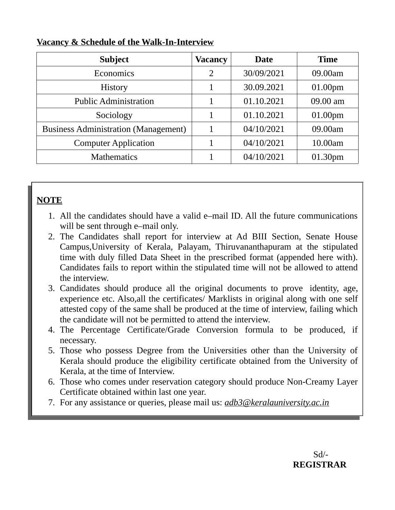| <b>Subject</b>                              | Vacancy        | <b>Date</b> | <b>Time</b> |
|---------------------------------------------|----------------|-------------|-------------|
| <b>Economics</b>                            | $\overline{2}$ | 30/09/2021  | 09.00am     |
| History                                     |                | 30.09.2021  | 01.00pm     |
| <b>Public Administration</b>                | 1              | 01.10.2021  | 09.00 am    |
| Sociology                                   |                | 01.10.2021  | 01.00pm     |
| <b>Business Administration (Management)</b> |                | 04/10/2021  | 09.00am     |
| <b>Computer Application</b>                 |                | 04/10/2021  | 10.00am     |
| <b>Mathematics</b>                          |                | 04/10/2021  | 01.30pm     |

#### **Vacancy & Schedule of the Walk-In-Interview**

## **NOTE**

- 1. All the candidates should have a valid e–mail ID. All the future communications will be sent through e–mail only.
- 2. The Candidates shall report for interview at Ad BIII Section, Senate House Campus,University of Kerala, Palayam, Thiruvananthapuram at the stipulated time with duly filled Data Sheet in the prescribed format (appended here with). Candidates fails to report within the stipulated time will not be allowed to attend the interview.
- 3. Candidates should produce all the original documents to prove identity, age, experience etc. Also,all the certificates/ Marklists in original along with one self attested copy of the same shall be produced at the time of interview, failing which the candidate will not be permitted to attend the interview.
- 4. The Percentage Certificate/Grade Conversion formula to be produced, if necessary.
- 5. Those who possess Degree from the Universities other than the University of Kerala should produce the eligibility certificate obtained from the University of Kerala, at the time of Interview.
- 6. Those who comes under reservation category should produce Non-Creamy Layer Certificate obtained within last one year.
- 7. For any assistance or queries, please mail us: *adb3@keralauniversity.ac.in*